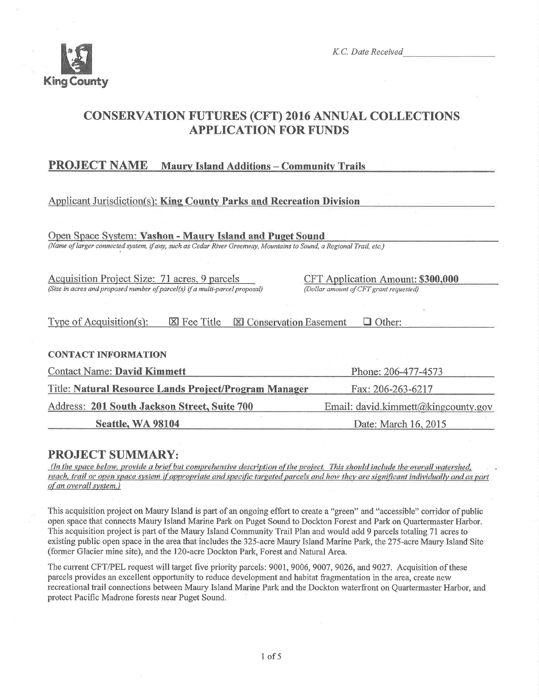

K.C. Date Received

# **CONSERVATION FUTURES (CFT) 2016 ANNUAL COLLECTIONS APPLICATION FOR FUNDS**

#### **PROJECT NAME Maury Island Additions - Community Trails**

# **Applicant Jurisdiction(s): King County Parks and Recreation Division**

Open Space System: Vashon - Maury Island and Puget Sound (Name of larger connected system, if any, such as Cedar River Greenway, Mountains to Sound, a Regional Trail, etc.)

Acquisition Project Size: 71 acres, 9 parcels (Size in acres and proposed number of parcel(s) if a multi-parcel proposal) CFT Application Amount: \$300,000 (Dollar amount of CFT grant requested)

Type of Acquisition(s):  $\boxtimes$  Fee Title  $\boxtimes$  Conservation Easement  $\Box$  Other:

#### **CONTACT INFORMATION**

| <b>Contact Name: David Kimmett</b>                    | Phone: 206-477-4573                 |  |
|-------------------------------------------------------|-------------------------------------|--|
| Title: Natural Resource Lands Project/Program Manager | Fax: 206-263-6217                   |  |
| Address: 201 South Jackson Street, Suite 700          | Email: david.kimmett@kingcounty.gov |  |
| Seattle, WA 98104                                     | Date: March 16, 2015                |  |

# **PROJECT SUMMARY:**

(In the space below, provide a brief but comprehensive description of the project. This should include the overall watershed, reach, trail or open space system if appropriate and specific targeted parcels and how they are significant individually and as part of an overall system.)

This acquisition project on Maury Island is part of an ongoing effort to create a "green" and "accessible" corridor of public open space that connects Maury Island Marine Park on Puget Sound to Dockton Forest and Park on Quartermaster Harbor. This acquisition project is part of the Maury Island Community Trail Plan and would add 9 parcels totaling 71 acres to existing public open space in the area that includes the 325-acre Maury Island Marine Park, the 275-acre Maury Island Site (former Glacier mine site), and the 120-acre Dockton Park, Forest and Natural Area.

The current CFT/PEL request will target five priority parcels: 9001, 9006, 9007, 9026, and 9027. Acquisition of these parcels provides an excellent opportunity to reduce development and habitat fragmentation in the area, create new recreational trail connections between Maury Island Marine Park and the Dockton waterfront on Quartermaster Harbor, and protect Pacific Madrone forests near Puget Sound.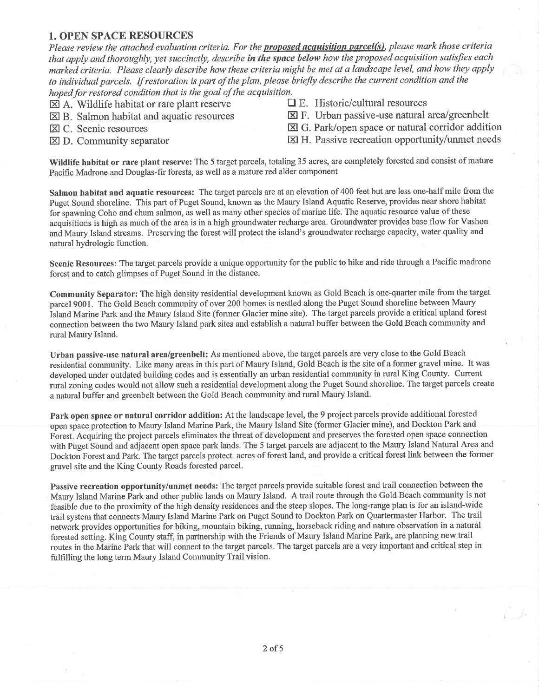#### 1. OPEN SPACE RESOURCES

Please review the attached evaluation criteria. For the **proposed acquisition parcel(s)**, please mark those criteria that apply and thoroughly, yet succinctly, describe in the space below how the proposed acquisition satisfies each marked criteria. Please clearly describe how these criteria might be met at a landscape level, and how they apply to individual parcels. If restoration is part of the plan, please briefly describe the current condition and the hoped for restored condition that is the goal of the acquisition.<br>  $\Box$  A Wildlife habitat or rare plant reserve  $\Box$  E. Historic/cultural resources

- 
- $\boxtimes$  A. Wildlife habitat or rare plant reserve  $\boxtimes$  B. Salmon habitat and aquatic resources
- 
- 
- 
- $\boxtimes$  F. Urban passive-use natural area/greenbelt
- El C. Scenic resources<br>
El G. Park/open space or natural corridor addition<br>
El H. Passive recreation opportunity/unmet needs<br>
El H. Passive recreation opportunity/unmet needs
	- $\boxtimes$  H. Passive recreation opportunity/unmet needs

Wildlife habitat or rare plant reserve: The 5 target parcels, totaling 35 acres, are completely forested and consist of mature Pacific Madrone and Douglas-fir forests, as well as a mature red alder component

Salmon habitat and aquatic resources: The target parcels are at an elevation of 400 feet but are less one-half mile from the Puget Sound shoreline. This part of Puget Sound, known as the Maury Island Aquatic Reserve, provides near shore habitat for spawning Coho and chum salmon, as well as many other species of marine life. The aquatic resource value of these acquisitions is high as much of the area is in a high groundwater recharge area. Groundwater provides base flow for Vashon and Maury Island streams. Preserving the forest will protect the island's groundwater recharge capacity, water quality and natural hydrologic function.

Scenic Resources: The target parcels provide a unique opportunity for the public to hike and ride through a Pacific madrone forest and to catch glimpses of Puget Sound in the distance.

Community Separator: The high density residential development known as Gold Beach is one-quarter mile from the target parcel 9001. The Gold Beach community of over 200 homes is nestled along the Puget Sound shoreline between Maury island Marine Park and the Maury Island Site (former Glacier mine site). The target parcels provide a critical upland forest connection between the two Maury Island park sites and establish a natural buffer between the Gold Beach community and rural Maury Island.

Urban passive-use natural area/greenbelt: As mentioned above, the target parcels are very close to the Gold Beach residential community. Like many areas in this part of Maury Island, Gold Beach is the site of a former gravel mine. It was developed under outdated building codes and is essentially an urban residential community in rural King County. Current rural zoning codes would not allow such a residential development along the Puget Sound shoreline. The target parcels create a natural buffer and greenbelt between the Gold Beach community and rural Maury Island.

Park open space or natural corridor addition: At the landscape level, the 9 project parcels provide additional forested open space protection to Maury Island Marine Park, the Maury Island Site (former Glacier mine), and Dockton Park and Fòrest. Acquiring the project parcels eliminates the threat of development and preserves the forested open space connection with Puget Sound and adjacent open space park lands. The 5 target parcels are adjacent to the Maury Island Natural Area and Dockton Forest and Park. The target parcels protect acres of forest land, and provide a critical forest link between the former gravel site and the King County Roads forested parcel.

Passive recreation opportunity/unmet needs: The target parcels provide suitable forest and trail connection between the Maury Island Marine Park and other public lands on Maury Island. A trail route through the Gold Beach community is not feasible due to the proximity of the high density residences and the steep slopes. The long-range plan is for an island-wide trail system that connects Maury Island Marine Park on Puget Sound to Dockton Park on Quartermaster Harbor. The trail network provides opportunities for hiking, mountain biking, running, horseback riding and nature observation in a natural forested setting. King County staff, in partnership with the Friends of Maury Island Marine Park, are planning new trail routes in the Marine Park that will connect to the target parcels. The target parcels are a very important and critical step in fulfilling the long term Maury Island Community Trail vision.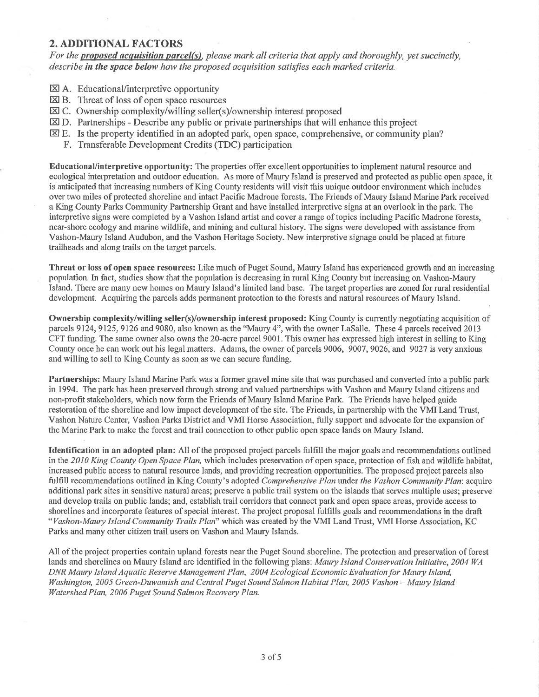#### 2. ADDITIONAL FACTORS

For the **proposed acquisition parcel(s)**, please mark all criteria that apply and thoroughly, yet succinctly, describe in the space below how the proposed acquisition satisfies each marked criteria.

- EXI A. Educational/interpretive opportunity
- $\boxtimes$  B. Threat of loss of open space resources
- EC. Ownership complexity/willing seller(s)/ownership interest proposed
- **E**D. Partnerships Describe any public or private partnerships that will enhance this project
- $\boxtimes$  E. Is the property identified in an adopted park, open space, comprehensive, or community plan?
	- F. Transferable Development Credits (TDC) participation

EducationaUinterpretive opportunity: The properties offer excellent opportunities to implement natural resource and ecological interpretation and outdoor education. As more of Maury Island is preserved and protected as public open space, it is anticipated that increasing numbers of King County residents will visit this unique outdoor environment which includes over two miles of protected shoreline and intact Pacific Madrone forests. The Friends of Maury Island Marine Park received a King County Parks Community Partnership Grant and have installed interpretive signs at an overlook in the park. The interpretive signs were completed by a Vashon Island artist and cover a range of topics including Pacific Madrone forests, near-shore ecology and marine wildlife, and mining and cultural history. The signs were developed with assistance from Vashon-Maury Island Audubon, and the Vashon Heritage Society. New interpretive signage could be placed at future trailheads and along trails on the target parcels.

Threat or loss of open space resources: Like much of Puget Sound, Maury Island has experienced growth and an increasing population. In fact, studies show that the population is decreasing in rural King County but increasing on Vashon-Maury Island. There are'many new homes on Maury Island's limited land base. The target properties are zoned for rural residential development. Acquiring the parcels adds permanent protection to the forests and natural resources of Maury Island.

Ownership complexity/willing seller(s)/ownership interest proposed: King County is currently negotiating acquisition of parcels 9124, 9125, 9126 and 9080, also known as the "Maury 4", with the owner LaSalle. These 4 parcels received 2013 CFT funding. The same owner also owns the 20-acre parcel 9001. This owner has expressed high interest in selling to King County once he can work out his legal matters. Adams, the owner of parcels 9006, 9007,9026, and 9027 is very anxious and willing to sell to King County as soon as we can secure funding.

Partnerships: Maury Island Marine Park was a former gravel mine site that was purchased and converted into a public park in 1994. The park has been preserved through strong and valued partnerships with Vashon and Maury Island citizens and non-profit stakeholders, which now form the Friends of Maury Island Marine Park. The Friends have helped guide restoration of the shoreline and low impact development of the site. The Friends, in partnership with the VMI Land Trust, Vashon Nature Center, Vashon Parks District and VMI Horse Association, fully support and advocate for the expansion of the Marine Park to make the forest and trail connection to other public open space lands on Maury Island.

Identification in an adopted plan: All of the proposed project parcels fulfill the major goals and recommendations outlined in the 2010 King County Open Space Plan, which includes preservation of open space, protection of fish and wildlife habitat, increased public access to natural resource lands, and providing recreation opportunities. The proposed project parcels also fulfill recommendations outlined in King County's adopted Comprehensive Plan under the Vashon Community Plan: acquire additional park sites in sensitive natural areas; preserve a public trail system on the islands that serves multiple uses; preserve and develop trails on public lands; and, establish trail corridors that connect park and open space areas, provide access to shorelines and incorporate features of special interest. The project proposal fulfills goals and recommendations in the draft "Vashon-Maury Island Community Trails Plan" which was created by the VMI Land Trust, VMI Horse Association, KC Parks and many other citizen trail users on Vashon and Maury Islands.

All of the project properties contain upland forests near the Puget Sound shoreline. The protection and preservation of forest lands and shorelines on Maury Island are identified in the following plans: Maury Island Conservation Initiative, 2004 WA DNR Maury Island Aquatic Reserve Management Plan, 2004 Ecological Economic Evaluation for Maury Island, Washington, 2005 Green-Duwamish and Central Puget Sound Salmon Habitat Plan, 2005 Vashon - Maury Island Watershed Plan, 2006 Puget Sound Salmon Recovery Plan.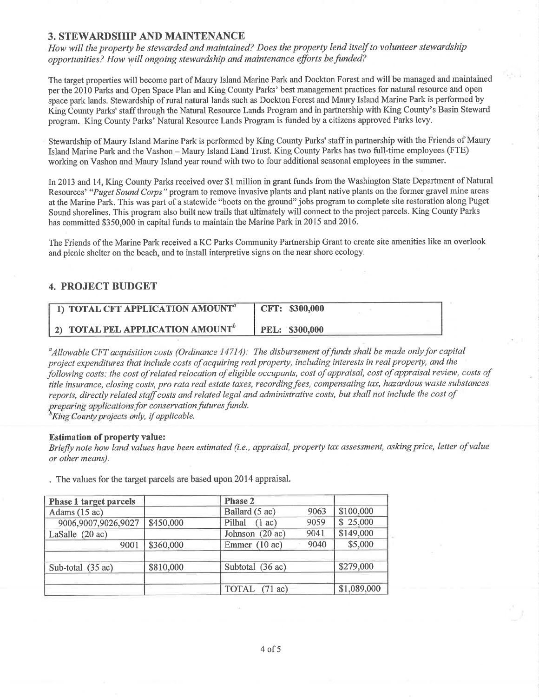#### 3. STEWARDSHIP AND MAINTENANCE

How will the property be stewarded and maintained? Does the property lend itself to volunteer stewardship opportunities? How will ongoing stewardship and maintenance efforts befunded?

The target properties will become part of Maury Island Marine Park and Dockton Forest and will be managed and maintained per the 2010 Parks and Open Space Plan and King County Parks' best management practices for natual resource and open space park lands. Stewardship of rural natural lands such as Dockton Forest and Maury Island Marine Park is performed by King County Parks' staff through the Natural Resource Lands Program and in partnership with King County's Basin Steward program. King County Parks' Natural Resource Lands Program is funded by a citizens approved Parks levy.

Stewardship of Maury Island Marine Park is performed by King County Parks' staff in partnership with the Friends of Maury Island Marine Park and the Vashon - Maury Island Land Trust. King County Parks has two full-time employees (FTE) working on Vashon and Maury Island year round with two to four additional seasonal employees in the summer.

In 2013 and 14, King County Parks received over \$1 million in grant funds from the Washington State Department of Natural Resources' "Puget Sound Corps" program to remove invasive plants and plant native plants on the former gravel mine areas at the Marine Park. This was part of a statewide "boots on the ground' jobs program to complete site restoration along Puget Sound shorelines. This program also built new trails that ultimately will connect to the project parcels. King County Parks has committed \$350,000 in capital funds to maintain the Marine Park in 2015 and 2016.

The Friends of the Marine Park received a KC Parks Community Partnership Grant to create site amenities like an overlook and picnic shelter on the beach, and to install interpretive signs on the near shore ecology

## 4. PROJECT BUDGET

| 1) TOTAL CFT APPLICATION AMOUNT <sup>a</sup> | CFT: \$300,000        |
|----------------------------------------------|-----------------------|
| 2) TOTAL PEL APPLICATION AMOUNT <sup>b</sup> | <b>PEL: \$300,000</b> |

 $^a$ Allowable CFT acquisition costs (Ordinance 14714): The disbursement of funds shall be made only for capital project expenditures that include costs of acquiring real property, including interests in real property, and the þtlowing costs: the cost of related relocation of eligible occupants, cost of appraisal, cost of appraisal review, costs of title insurance, closing costs, pro rata real estate taxes, recording fees, compensating tax, hazardous waste substances reports, directly related staff costs and related legal and adminístrative costs, but shall not include the cost of preparing applications for conservation futures funds.

 ${}^b$ King County projects only, if applicable.

#### Estimation of property value:

Briefly note how land values have been estimated (i.e., appraisal, property tax assessment, asking price, Ietter of value or other means).

. The values for the target parcels are based upon 2014 appraisal.

| <b>Phase 1 target parcels</b> |           | <b>Phase 2</b>   |      |             |
|-------------------------------|-----------|------------------|------|-------------|
| Adams (15 ac)                 |           | Ballard (5 ac)   | 9063 | \$100,000   |
| 9006,9007,9026,9027           | \$450,000 | Pilhal $(1 ac)$  | 9059 | \$25,000    |
| LaSalle (20 ac)               |           | Johnson (20 ac)  | 9041 | \$149,000   |
| 9001                          | \$360,000 | Emmer (10 ac)    | 9040 | \$5,000     |
| Sub-total (35 ac)             | \$810,000 | Subtotal (36 ac) |      | \$279,000   |
|                               |           | TOTAL (71 ac)    |      | \$1,089,000 |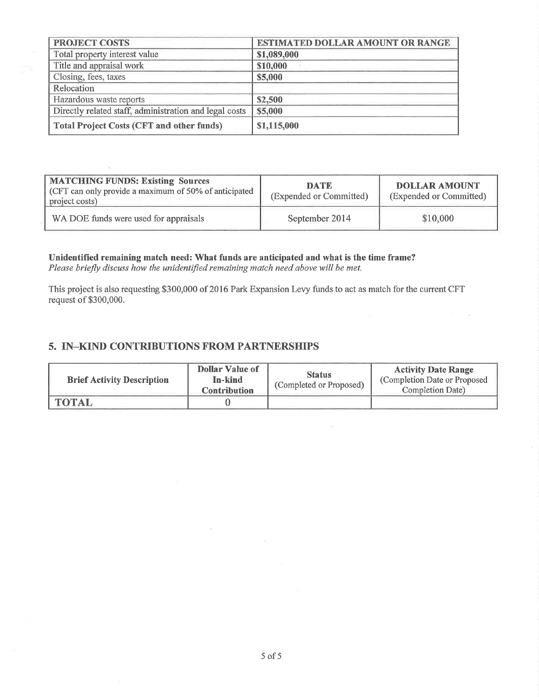| <b>PROJECT COSTS</b>                                   | <b>ESTIMATED DOLLAR AMOUNT OR RANGE</b> |
|--------------------------------------------------------|-----------------------------------------|
| Total property interest value                          | \$1,089,000                             |
| Title and appraisal work                               | \$10,000                                |
| Closing, fees, taxes                                   | \$5,000                                 |
| Relocation                                             |                                         |
| Hazardous waste reports                                | \$2,500                                 |
| Directly related staff, administration and legal costs | \$5,000                                 |
| Total Project Costs (CFT and other funds)              | \$1,115,000                             |

| <b>MATCHING FUNDS: Existing Sources</b><br>CFT can only provide a maximum of 50% of anticipated<br>project costs) | <b>DATE</b><br>(Expended or Committed) | <b>DOLLAR AMOUNT</b><br>(Expended or Committed) |
|-------------------------------------------------------------------------------------------------------------------|----------------------------------------|-------------------------------------------------|
| WA DOE funds were used for appraisals                                                                             | September 2014                         | \$10,000                                        |

Unidentified remaining match need: What funds are anticipated and what is the time frame? Please briefly discuss how the unidentified remaining match need above will be met.

This project is also requesting 5300,000 of 2016 Park Expansion Levy funds to act as match for the current CFT request of \$300,000.

## 5. IN-KIND CONTRIBUTIONS FROM PARTNERSHIPS

| <b>Brief Activity Description</b> | <b>Dollar Value of</b><br>In-kind<br><b>Contribution</b> | <b>Status</b><br>(Completed or Proposed) | <b>Activity Date Range</b><br>(Completion Date or Proposed)<br>Completion Date) |
|-----------------------------------|----------------------------------------------------------|------------------------------------------|---------------------------------------------------------------------------------|
| <b>TOTAL</b>                      |                                                          |                                          |                                                                                 |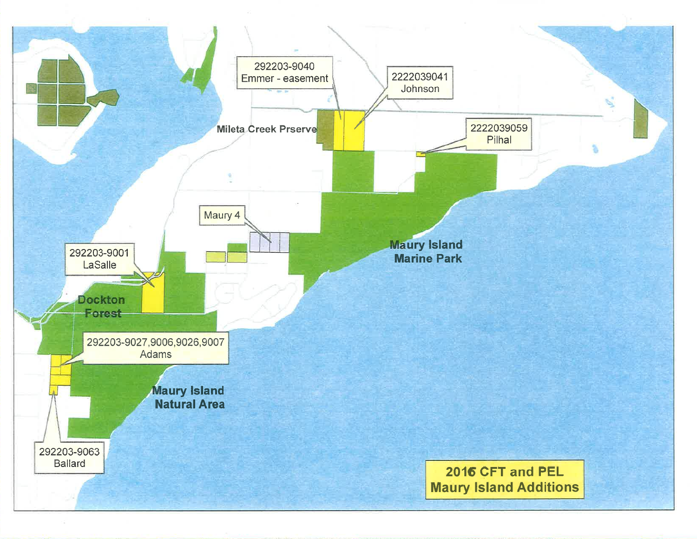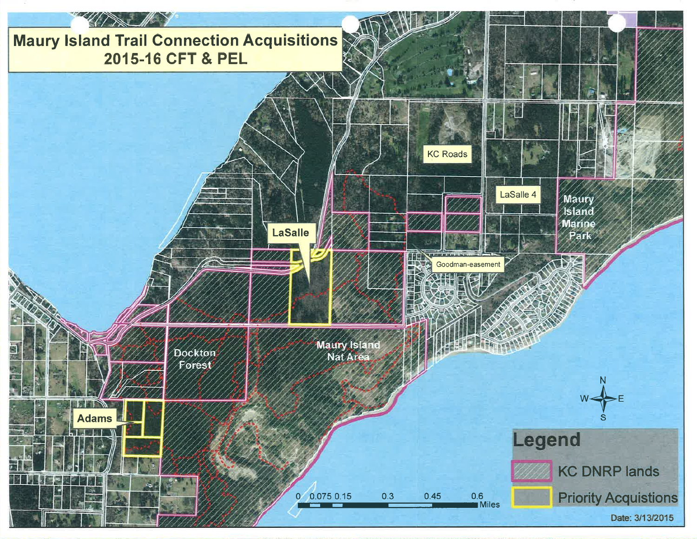